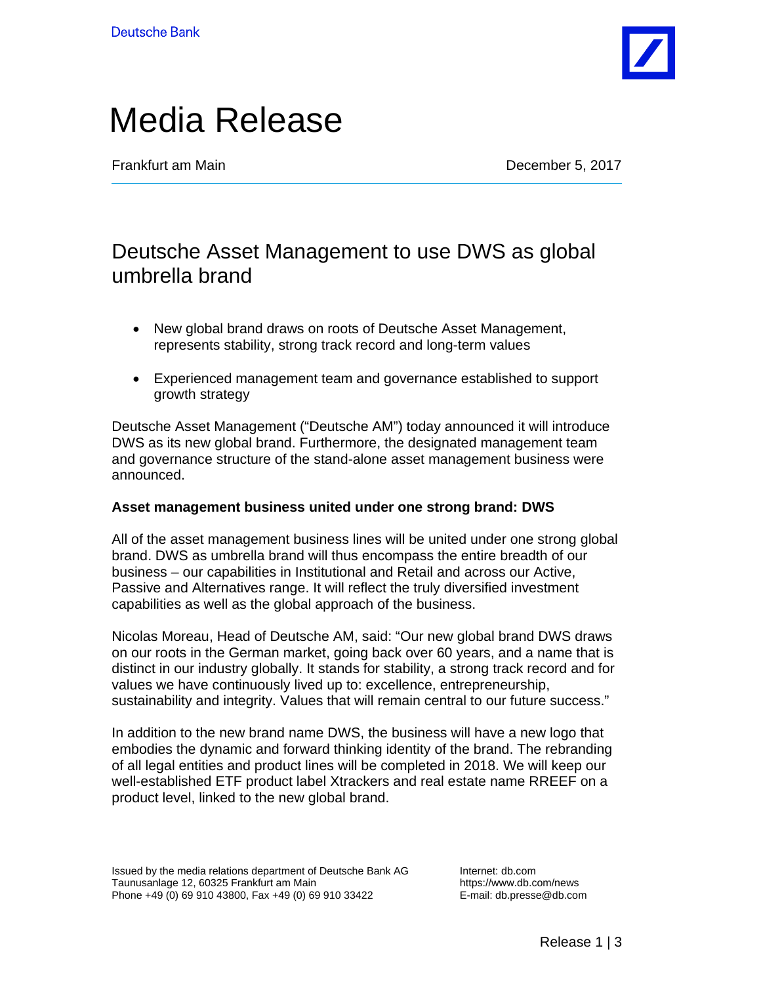

# Media Release

**Frankfurt am Main** December 5, 2017

## Deutsche Asset Management to use DWS as global umbrella brand

- New global brand draws on roots of Deutsche Asset Management, represents stability, strong track record and long-term values
- Experienced management team and governance established to support growth strategy

Deutsche Asset Management ("Deutsche AM") today announced it will introduce DWS as its new global brand. Furthermore, the designated management team and governance structure of the stand-alone asset management business were announced.

### **Asset management business united under one strong brand: DWS**

All of the asset management business lines will be united under one strong global brand. DWS as umbrella brand will thus encompass the entire breadth of our business – our capabilities in Institutional and Retail and across our Active, Passive and Alternatives range. It will reflect the truly diversified investment capabilities as well as the global approach of the business.

Nicolas Moreau, Head of Deutsche AM, said: "Our new global brand DWS draws on our roots in the German market, going back over 60 years, and a name that is distinct in our industry globally. It stands for stability, a strong track record and for values we have continuously lived up to: excellence, entrepreneurship, sustainability and integrity. Values that will remain central to our future success."

In addition to the new brand name DWS, the business will have a new logo that embodies the dynamic and forward thinking identity of the brand. The rebranding of all legal entities and product lines will be completed in 2018. We will keep our well-established ETF product label Xtrackers and real estate name RREEF on a product level, linked to the new global brand.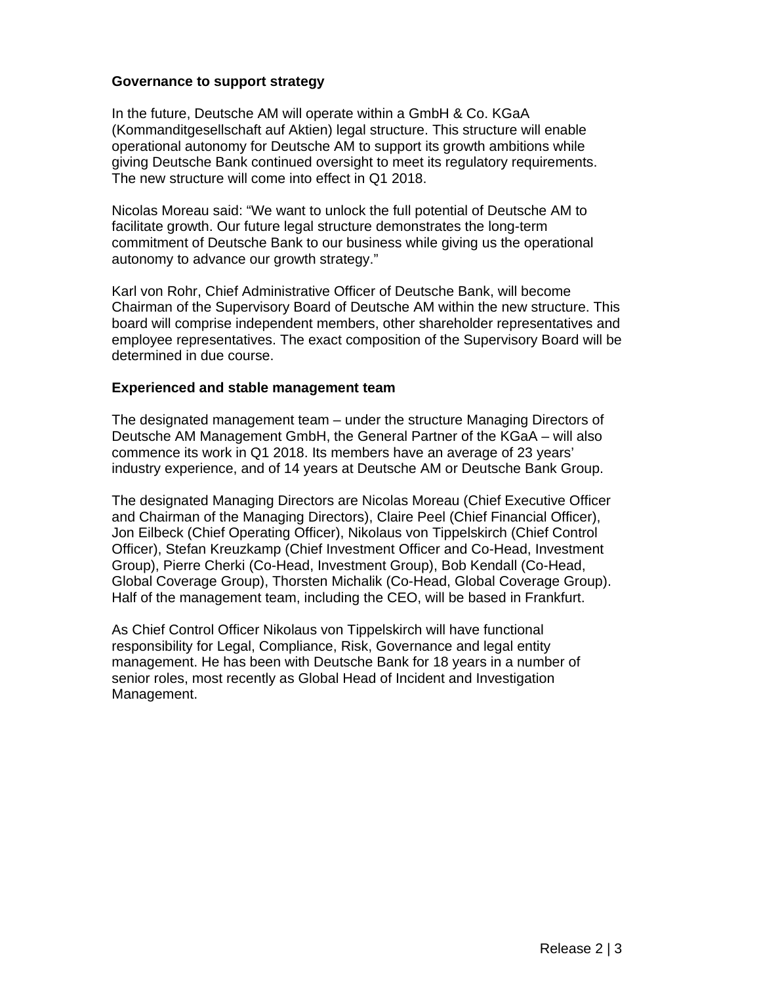### **Governance to support strategy**

In the future, Deutsche AM will operate within a GmbH & Co. KGaA (Kommanditgesellschaft auf Aktien) legal structure. This structure will enable operational autonomy for Deutsche AM to support its growth ambitions while giving Deutsche Bank continued oversight to meet its regulatory requirements. The new structure will come into effect in Q1 2018.

Nicolas Moreau said: "We want to unlock the full potential of Deutsche AM to facilitate growth. Our future legal structure demonstrates the long-term commitment of Deutsche Bank to our business while giving us the operational autonomy to advance our growth strategy."

Karl von Rohr, Chief Administrative Officer of Deutsche Bank, will become Chairman of the Supervisory Board of Deutsche AM within the new structure. This board will comprise independent members, other shareholder representatives and employee representatives. The exact composition of the Supervisory Board will be determined in due course.

#### **Experienced and stable management team**

The designated management team – under the structure Managing Directors of Deutsche AM Management GmbH, the General Partner of the KGaA – will also commence its work in Q1 2018. Its members have an average of 23 years' industry experience, and of 14 years at Deutsche AM or Deutsche Bank Group.

The designated Managing Directors are Nicolas Moreau (Chief Executive Officer and Chairman of the Managing Directors), Claire Peel (Chief Financial Officer), Jon Eilbeck (Chief Operating Officer), Nikolaus von Tippelskirch (Chief Control Officer), Stefan Kreuzkamp (Chief Investment Officer and Co-Head, Investment Group), Pierre Cherki (Co-Head, Investment Group), Bob Kendall (Co-Head, Global Coverage Group), Thorsten Michalik (Co-Head, Global Coverage Group). Half of the management team, including the CEO, will be based in Frankfurt.

As Chief Control Officer Nikolaus von Tippelskirch will have functional responsibility for Legal, Compliance, Risk, Governance and legal entity management. He has been with Deutsche Bank for 18 years in a number of senior roles, most recently as Global Head of Incident and Investigation Management.